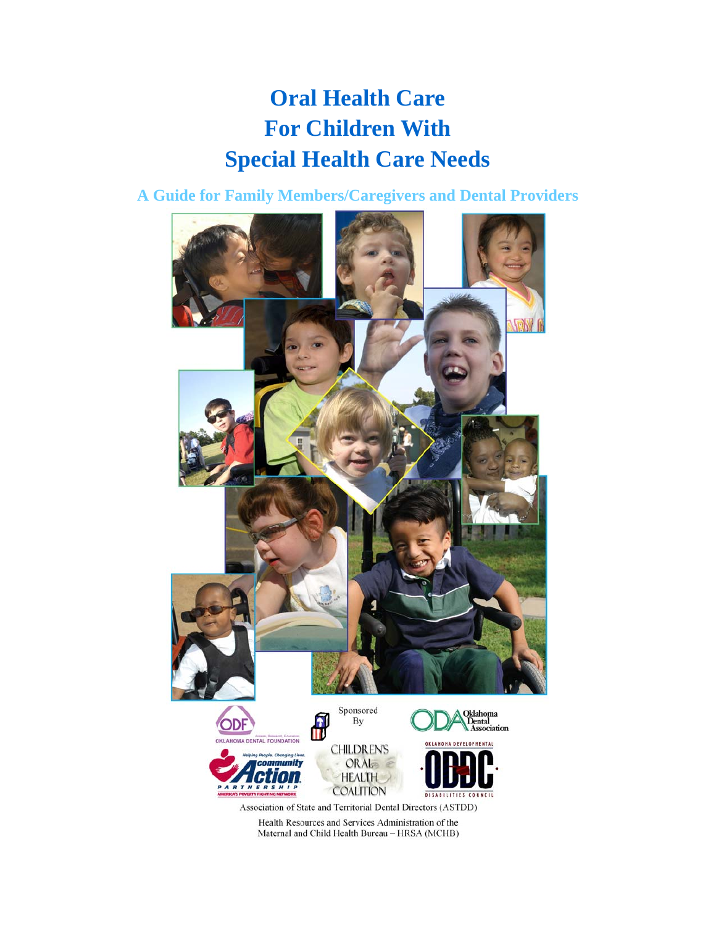# **Oral Health Care For Children With Special Health Care Needs**

**A Guide for Family Members/Caregivers and Dental Providers** 



Health Resources and Services Administration of the Maternal and Child Health Bureau - HRSA (MCHB)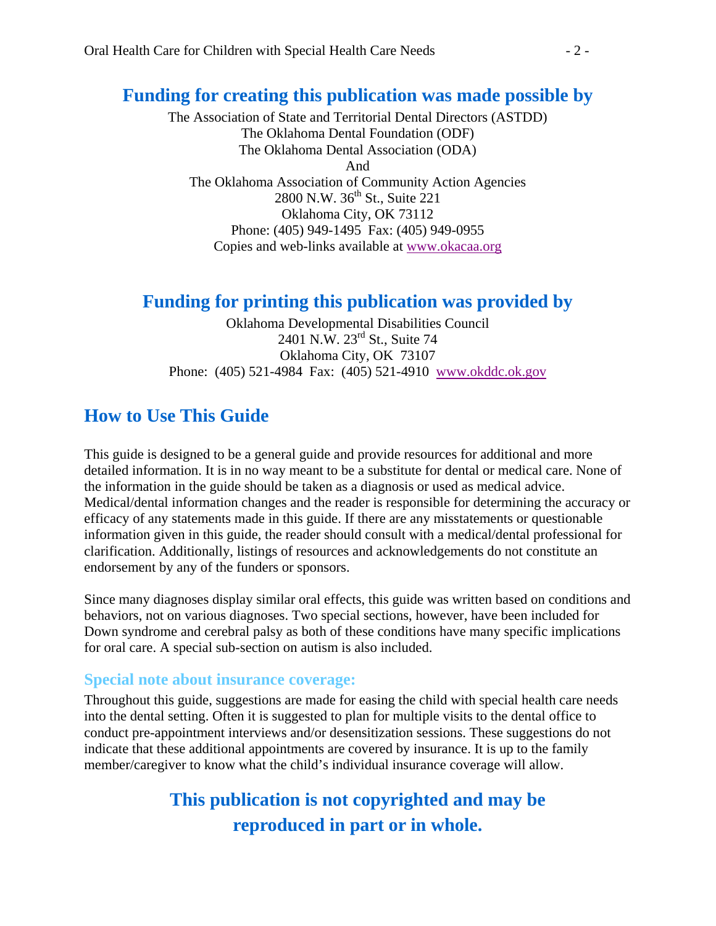### **Funding for creating this publication was made possible by**

The Association of State and Territorial Dental Directors (ASTDD) The Oklahoma Dental Foundation (ODF) The Oklahoma Dental Association (ODA) And The Oklahoma Association of Community Action Agencies 2800 N.W.  $36^{th}$  St., Suite 221 Oklahoma City, OK 73112 Phone: (405) 949-1495 Fax: (405) 949-0955 Copies and web-links available at www.okacaa.org

### **Funding for printing this publication was provided by**

Oklahoma Developmental Disabilities Council 2401 N.W. 23rd St., Suite 74 Oklahoma City, OK 73107 Phone: (405) 521-4984 Fax: (405) 521-4910 www.okddc.ok.gov

## **How to Use This Guide**

This guide is designed to be a general guide and provide resources for additional and more detailed information. It is in no way meant to be a substitute for dental or medical care. None of the information in the guide should be taken as a diagnosis or used as medical advice. Medical/dental information changes and the reader is responsible for determining the accuracy or efficacy of any statements made in this guide. If there are any misstatements or questionable information given in this guide, the reader should consult with a medical/dental professional for clarification. Additionally, listings of resources and acknowledgements do not constitute an endorsement by any of the funders or sponsors.

Since many diagnoses display similar oral effects, this guide was written based on conditions and behaviors, not on various diagnoses. Two special sections, however, have been included for Down syndrome and cerebral palsy as both of these conditions have many specific implications for oral care. A special sub-section on autism is also included.

### **Special note about insurance coverage:**

Throughout this guide, suggestions are made for easing the child with special health care needs into the dental setting. Often it is suggested to plan for multiple visits to the dental office to conduct pre-appointment interviews and/or desensitization sessions. These suggestions do not indicate that these additional appointments are covered by insurance. It is up to the family member/caregiver to know what the child's individual insurance coverage will allow.

## **This publication is not copyrighted and may be reproduced in part or in whole.**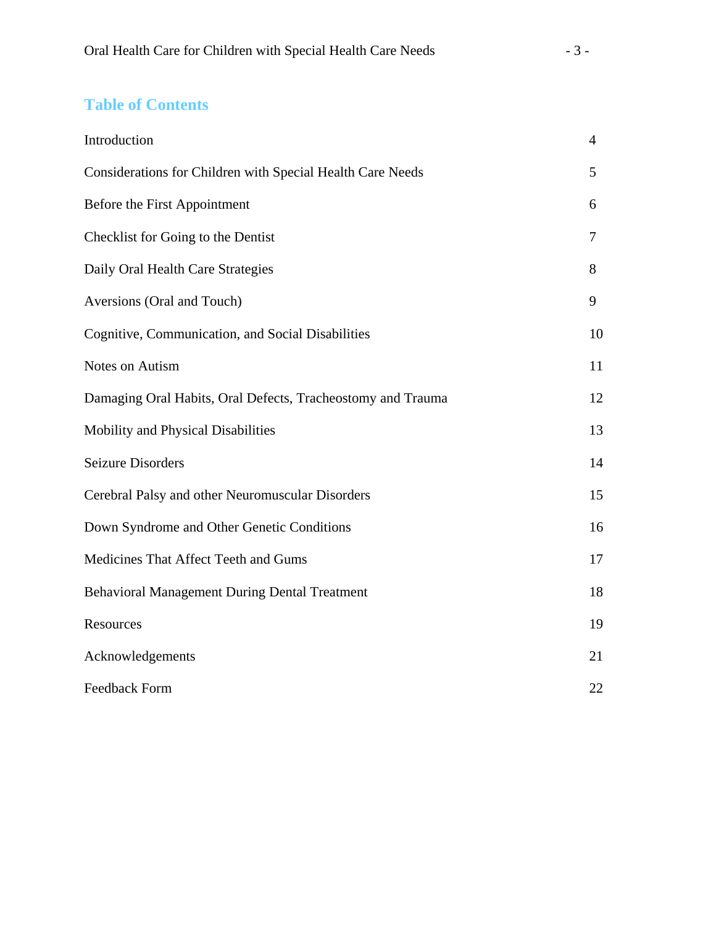### **Table of Contents**

| Introduction                                                | $\overline{4}$ |
|-------------------------------------------------------------|----------------|
| Considerations for Children with Special Health Care Needs  | 5              |
| Before the First Appointment                                | 6              |
| Checklist for Going to the Dentist                          | 7              |
| Daily Oral Health Care Strategies                           | 8              |
| Aversions (Oral and Touch)                                  | 9              |
| Cognitive, Communication, and Social Disabilities           | 10             |
| Notes on Autism                                             | 11             |
| Damaging Oral Habits, Oral Defects, Tracheostomy and Trauma | 12             |
| Mobility and Physical Disabilities                          | 13             |
| <b>Seizure Disorders</b>                                    | 14             |
| Cerebral Palsy and other Neuromuscular Disorders            | 15             |
| Down Syndrome and Other Genetic Conditions                  | 16             |
| Medicines That Affect Teeth and Gums                        | 17             |
| <b>Behavioral Management During Dental Treatment</b>        | 18             |
| Resources                                                   | 19             |
| Acknowledgements                                            | 21             |
| <b>Feedback Form</b>                                        | 22             |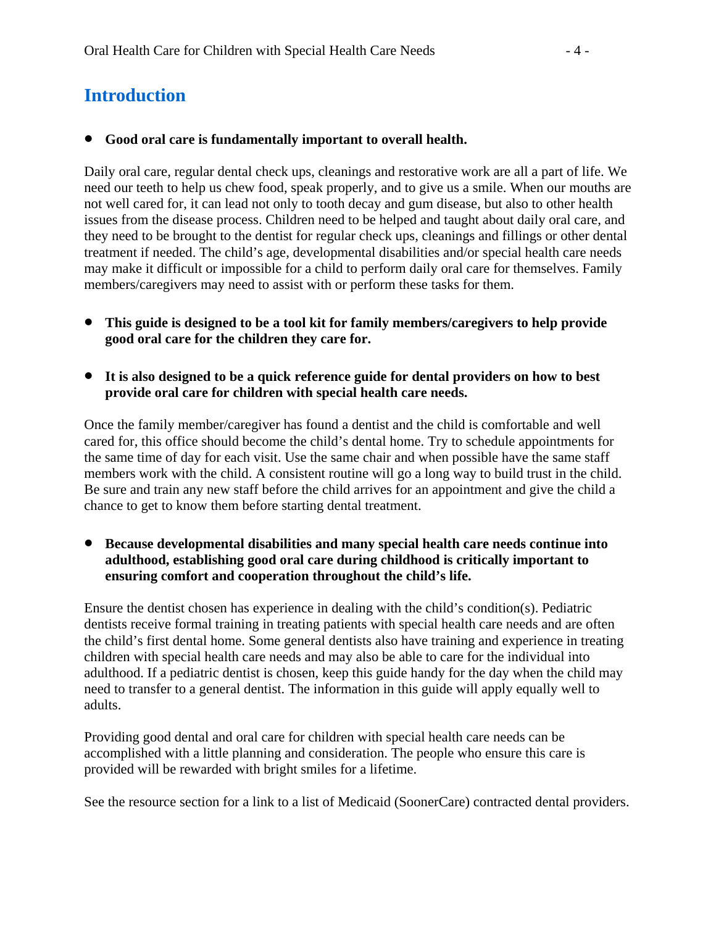## **Introduction**

#### • **Good oral care is fundamentally important to overall health.**

Daily oral care, regular dental check ups, cleanings and restorative work are all a part of life. We need our teeth to help us chew food, speak properly, and to give us a smile. When our mouths are not well cared for, it can lead not only to tooth decay and gum disease, but also to other health issues from the disease process. Children need to be helped and taught about daily oral care, and they need to be brought to the dentist for regular check ups, cleanings and fillings or other dental treatment if needed. The child's age, developmental disabilities and/or special health care needs may make it difficult or impossible for a child to perform daily oral care for themselves. Family members/caregivers may need to assist with or perform these tasks for them.

- **This guide is designed to be a tool kit for family members/caregivers to help provide good oral care for the children they care for.**
- **It is also designed to be a quick reference guide for dental providers on how to best provide oral care for children with special health care needs.**

Once the family member/caregiver has found a dentist and the child is comfortable and well cared for, this office should become the child's dental home. Try to schedule appointments for the same time of day for each visit. Use the same chair and when possible have the same staff members work with the child. A consistent routine will go a long way to build trust in the child. Be sure and train any new staff before the child arrives for an appointment and give the child a chance to get to know them before starting dental treatment.

• **Because developmental disabilities and many special health care needs continue into adulthood, establishing good oral care during childhood is critically important to ensuring comfort and cooperation throughout the child's life.** 

Ensure the dentist chosen has experience in dealing with the child's condition(s). Pediatric dentists receive formal training in treating patients with special health care needs and are often the child's first dental home. Some general dentists also have training and experience in treating children with special health care needs and may also be able to care for the individual into adulthood. If a pediatric dentist is chosen, keep this guide handy for the day when the child may need to transfer to a general dentist. The information in this guide will apply equally well to adults.

Providing good dental and oral care for children with special health care needs can be accomplished with a little planning and consideration. The people who ensure this care is provided will be rewarded with bright smiles for a lifetime.

See the resource section for a link to a list of Medicaid (SoonerCare) contracted dental providers.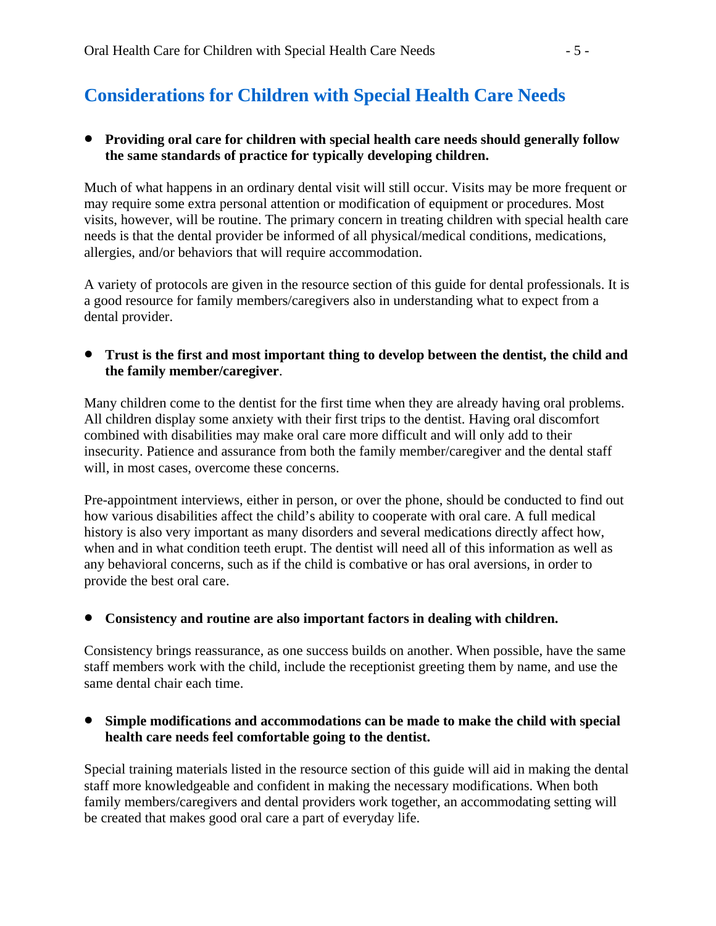## **Considerations for Children with Special Health Care Needs**

#### • **Providing oral care for children with special health care needs should generally follow the same standards of practice for typically developing children.**

Much of what happens in an ordinary dental visit will still occur. Visits may be more frequent or may require some extra personal attention or modification of equipment or procedures. Most visits, however, will be routine. The primary concern in treating children with special health care needs is that the dental provider be informed of all physical/medical conditions, medications, allergies, and/or behaviors that will require accommodation.

A variety of protocols are given in the resource section of this guide for dental professionals. It is a good resource for family members/caregivers also in understanding what to expect from a dental provider.

• **Trust is the first and most important thing to develop between the dentist, the child and the family member/caregiver**.

Many children come to the dentist for the first time when they are already having oral problems. All children display some anxiety with their first trips to the dentist. Having oral discomfort combined with disabilities may make oral care more difficult and will only add to their insecurity. Patience and assurance from both the family member/caregiver and the dental staff will, in most cases, overcome these concerns.

Pre-appointment interviews, either in person, or over the phone, should be conducted to find out how various disabilities affect the child's ability to cooperate with oral care. A full medical history is also very important as many disorders and several medications directly affect how, when and in what condition teeth erupt. The dentist will need all of this information as well as any behavioral concerns, such as if the child is combative or has oral aversions, in order to provide the best oral care.

#### • **Consistency and routine are also important factors in dealing with children.**

Consistency brings reassurance, as one success builds on another. When possible, have the same staff members work with the child, include the receptionist greeting them by name, and use the same dental chair each time.

#### • **Simple modifications and accommodations can be made to make the child with special health care needs feel comfortable going to the dentist.**

Special training materials listed in the resource section of this guide will aid in making the dental staff more knowledgeable and confident in making the necessary modifications. When both family members/caregivers and dental providers work together, an accommodating setting will be created that makes good oral care a part of everyday life.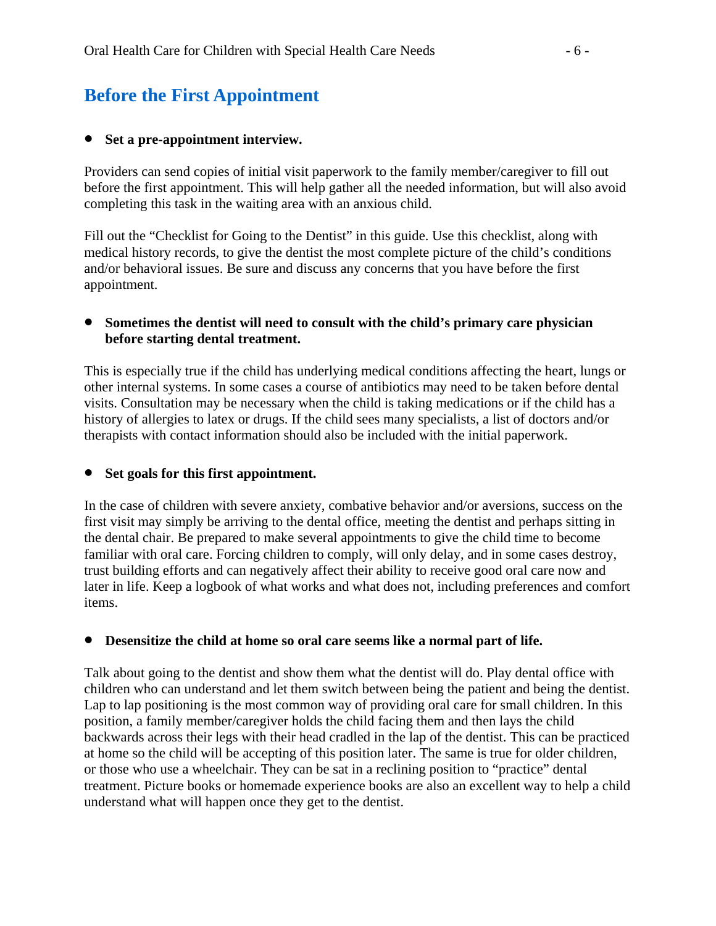### **Before the First Appointment**

#### • **Set a pre-appointment interview.**

Providers can send copies of initial visit paperwork to the family member/caregiver to fill out before the first appointment. This will help gather all the needed information, but will also avoid completing this task in the waiting area with an anxious child.

Fill out the "Checklist for Going to the Dentist" in this guide. Use this checklist, along with medical history records, to give the dentist the most complete picture of the child's conditions and/or behavioral issues. Be sure and discuss any concerns that you have before the first appointment.

#### • **Sometimes the dentist will need to consult with the child's primary care physician before starting dental treatment.**

This is especially true if the child has underlying medical conditions affecting the heart, lungs or other internal systems. In some cases a course of antibiotics may need to be taken before dental visits. Consultation may be necessary when the child is taking medications or if the child has a history of allergies to latex or drugs. If the child sees many specialists, a list of doctors and/or therapists with contact information should also be included with the initial paperwork.

#### • **Set goals for this first appointment.**

In the case of children with severe anxiety, combative behavior and/or aversions, success on the first visit may simply be arriving to the dental office, meeting the dentist and perhaps sitting in the dental chair. Be prepared to make several appointments to give the child time to become familiar with oral care. Forcing children to comply, will only delay, and in some cases destroy, trust building efforts and can negatively affect their ability to receive good oral care now and later in life. Keep a logbook of what works and what does not, including preferences and comfort items.

#### • **Desensitize the child at home so oral care seems like a normal part of life.**

Talk about going to the dentist and show them what the dentist will do. Play dental office with children who can understand and let them switch between being the patient and being the dentist. Lap to lap positioning is the most common way of providing oral care for small children. In this position, a family member/caregiver holds the child facing them and then lays the child backwards across their legs with their head cradled in the lap of the dentist. This can be practiced at home so the child will be accepting of this position later. The same is true for older children, or those who use a wheelchair. They can be sat in a reclining position to "practice" dental treatment. Picture books or homemade experience books are also an excellent way to help a child understand what will happen once they get to the dentist.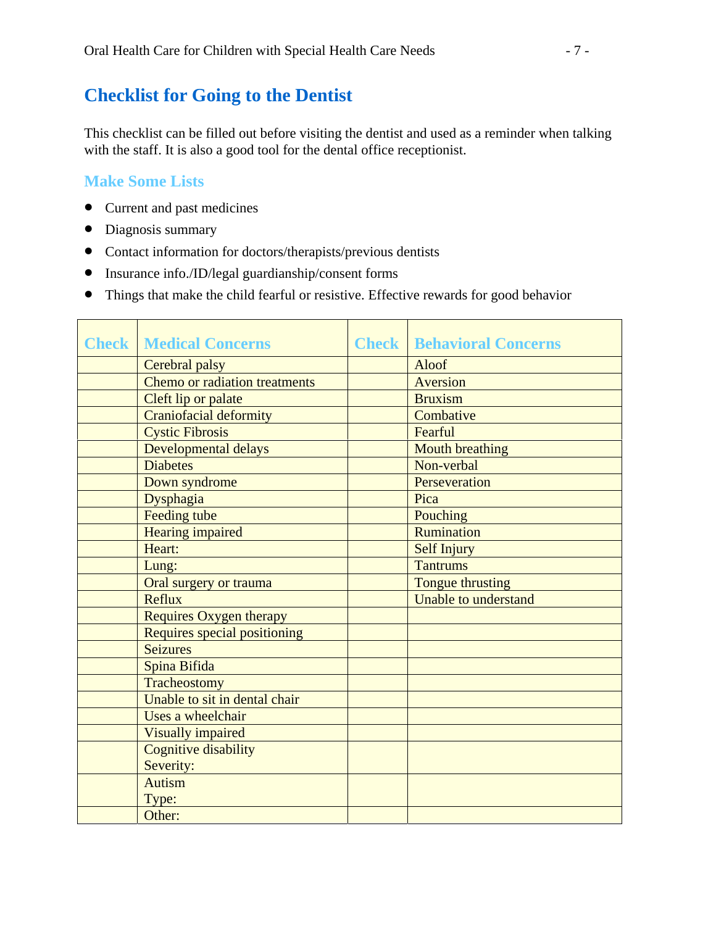### **Checklist for Going to the Dentist**

This checklist can be filled out before visiting the dentist and used as a reminder when talking with the staff. It is also a good tool for the dental office receptionist.

### **Make Some Lists**

- Current and past medicines
- Diagnosis summary
- Contact information for doctors/therapists/previous dentists
- Insurance info./ID/legal guardianship/consent forms
- Things that make the child fearful or resistive. Effective rewards for good behavior

| <b>Check   Medical Concerns</b> | <b>Check   Behavioral Concerns</b> |
|---------------------------------|------------------------------------|
| Cerebral palsy                  | Aloof                              |
| Chemo or radiation treatments   | Aversion                           |
| Cleft lip or palate             | <b>Bruxism</b>                     |
| <b>Craniofacial deformity</b>   | Combative                          |
| <b>Cystic Fibrosis</b>          | Fearful                            |
| Developmental delays            | <b>Mouth breathing</b>             |
| <b>Diabetes</b>                 | Non-verbal                         |
| Down syndrome                   | Perseveration                      |
| Dysphagia                       | Pica                               |
| Feeding tube                    | Pouching                           |
| <b>Hearing impaired</b>         | Rumination                         |
| Heart:                          | <b>Self Injury</b>                 |
| Lung:                           | <b>Tantrums</b>                    |
| Oral surgery or trauma          | Tongue thrusting                   |
| Reflux                          | Unable to understand               |
| <b>Requires Oxygen therapy</b>  |                                    |
| Requires special positioning    |                                    |
| <b>Seizures</b>                 |                                    |
| Spina Bifida                    |                                    |
| Tracheostomy                    |                                    |
| Unable to sit in dental chair   |                                    |
| Uses a wheelchair               |                                    |
| <b>Visually impaired</b>        |                                    |
| <b>Cognitive disability</b>     |                                    |
| Severity:                       |                                    |
| <b>Autism</b>                   |                                    |
| Type:                           |                                    |
| Other:                          |                                    |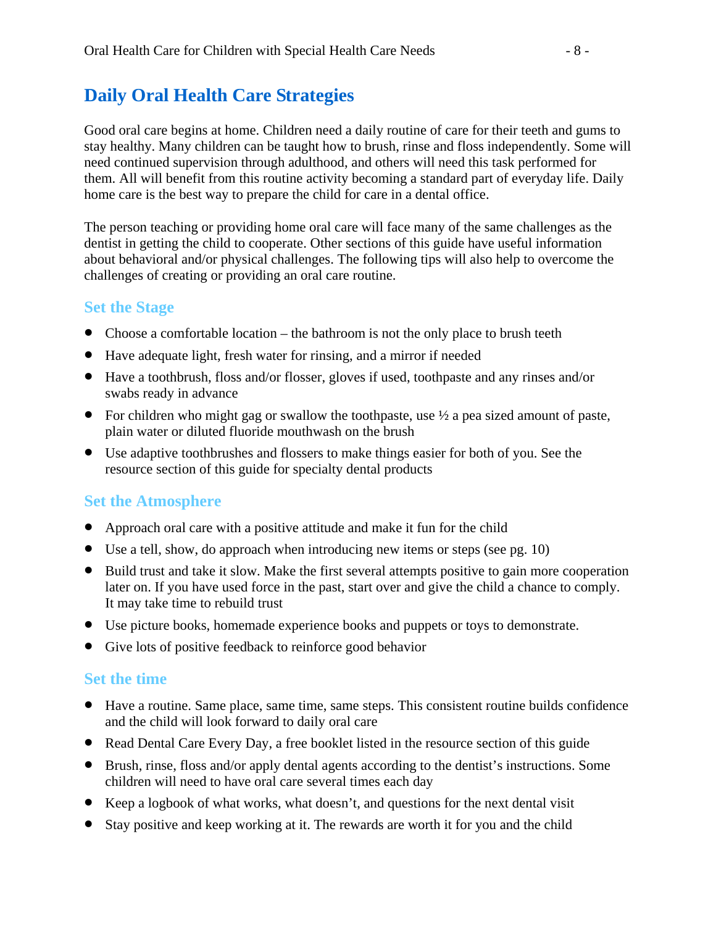### **Daily Oral Health Care Strategies**

Good oral care begins at home. Children need a daily routine of care for their teeth and gums to stay healthy. Many children can be taught how to brush, rinse and floss independently. Some will need continued supervision through adulthood, and others will need this task performed for them. All will benefit from this routine activity becoming a standard part of everyday life. Daily home care is the best way to prepare the child for care in a dental office.

The person teaching or providing home oral care will face many of the same challenges as the dentist in getting the child to cooperate. Other sections of this guide have useful information about behavioral and/or physical challenges. The following tips will also help to overcome the challenges of creating or providing an oral care routine.

### **Set the Stage**

- Choose a comfortable location the bathroom is not the only place to brush teeth
- Have adequate light, fresh water for rinsing, and a mirror if needed
- Have a toothbrush, floss and/or flosser, gloves if used, toothpaste and any rinses and/or swabs ready in advance
- For children who might gag or swallow the toothpaste, use  $\frac{1}{2}$  a pea sized amount of paste, plain water or diluted fluoride mouthwash on the brush
- Use adaptive toothbrushes and flossers to make things easier for both of you. See the resource section of this guide for specialty dental products

### **Set the Atmosphere**

- Approach oral care with a positive attitude and make it fun for the child
- Use a tell, show, do approach when introducing new items or steps (see pg. 10)
- Build trust and take it slow. Make the first several attempts positive to gain more cooperation later on. If you have used force in the past, start over and give the child a chance to comply. It may take time to rebuild trust
- Use picture books, homemade experience books and puppets or toys to demonstrate.
- Give lots of positive feedback to reinforce good behavior

#### **Set the time**

- Have a routine. Same place, same time, same steps. This consistent routine builds confidence and the child will look forward to daily oral care
- Read Dental Care Every Day, a free booklet listed in the resource section of this guide
- Brush, rinse, floss and/or apply dental agents according to the dentist's instructions. Some children will need to have oral care several times each day
- Keep a logbook of what works, what doesn't, and questions for the next dental visit
- Stay positive and keep working at it. The rewards are worth it for you and the child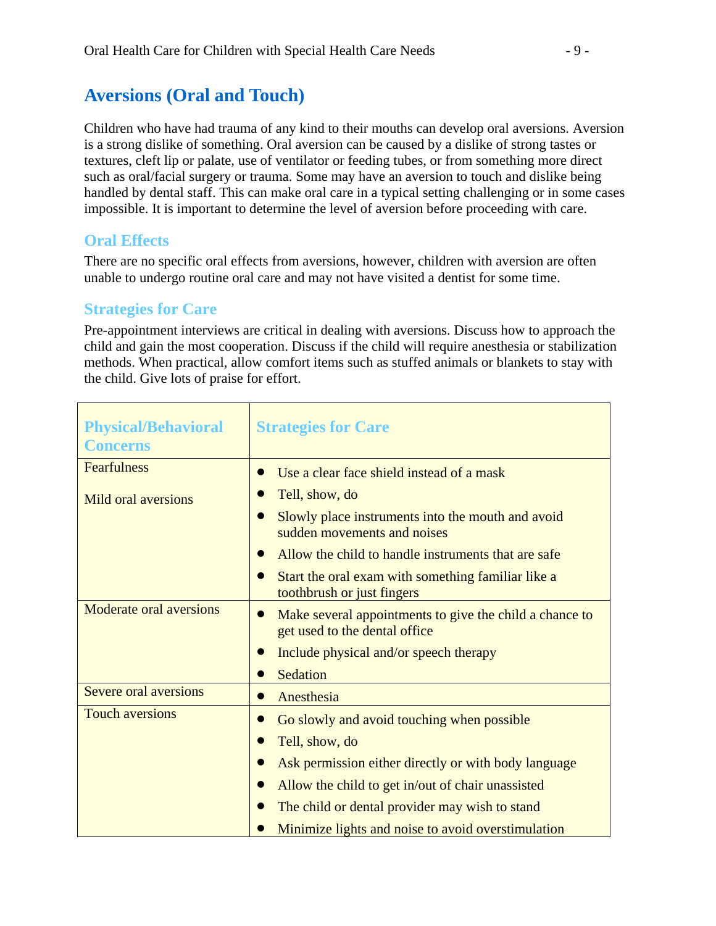### **Aversions (Oral and Touch)**

Children who have had trauma of any kind to their mouths can develop oral aversions. Aversion is a strong dislike of something. Oral aversion can be caused by a dislike of strong tastes or textures, cleft lip or palate, use of ventilator or feeding tubes, or from something more direct such as oral/facial surgery or trauma. Some may have an aversion to touch and dislike being handled by dental staff. This can make oral care in a typical setting challenging or in some cases impossible. It is important to determine the level of aversion before proceeding with care.

### **Oral Effects**

There are no specific oral effects from aversions, however, children with aversion are often unable to undergo routine oral care and may not have visited a dentist for some time.

### **Strategies for Care**

Pre-appointment interviews are critical in dealing with aversions. Discuss how to approach the child and gain the most cooperation. Discuss if the child will require anesthesia or stabilization methods. When practical, allow comfort items such as stuffed animals or blankets to stay with the child. Give lots of praise for effort.

| <b>Physical/Behavioral</b><br><b>Concerns</b> | <b>Strategies for Care</b>                                                               |
|-----------------------------------------------|------------------------------------------------------------------------------------------|
| <b>Fearfulness</b>                            | Use a clear face shield instead of a mask                                                |
| Mild oral aversions                           | Tell, show, do                                                                           |
|                                               | Slowly place instruments into the mouth and avoid<br>sudden movements and noises         |
|                                               | Allow the child to handle instruments that are safe                                      |
|                                               | Start the oral exam with something familiar like a<br>toothbrush or just fingers         |
| Moderate oral aversions                       | Make several appointments to give the child a chance to<br>get used to the dental office |
|                                               | Include physical and/or speech therapy                                                   |
|                                               | Sedation                                                                                 |
| Severe oral aversions                         | Anesthesia                                                                               |
| <b>Touch aversions</b>                        | Go slowly and avoid touching when possible                                               |
|                                               | Tell, show, do                                                                           |
|                                               | Ask permission either directly or with body language                                     |
|                                               | Allow the child to get in/out of chair unassisted                                        |
|                                               | The child or dental provider may wish to stand                                           |
|                                               | Minimize lights and noise to avoid overstimulation                                       |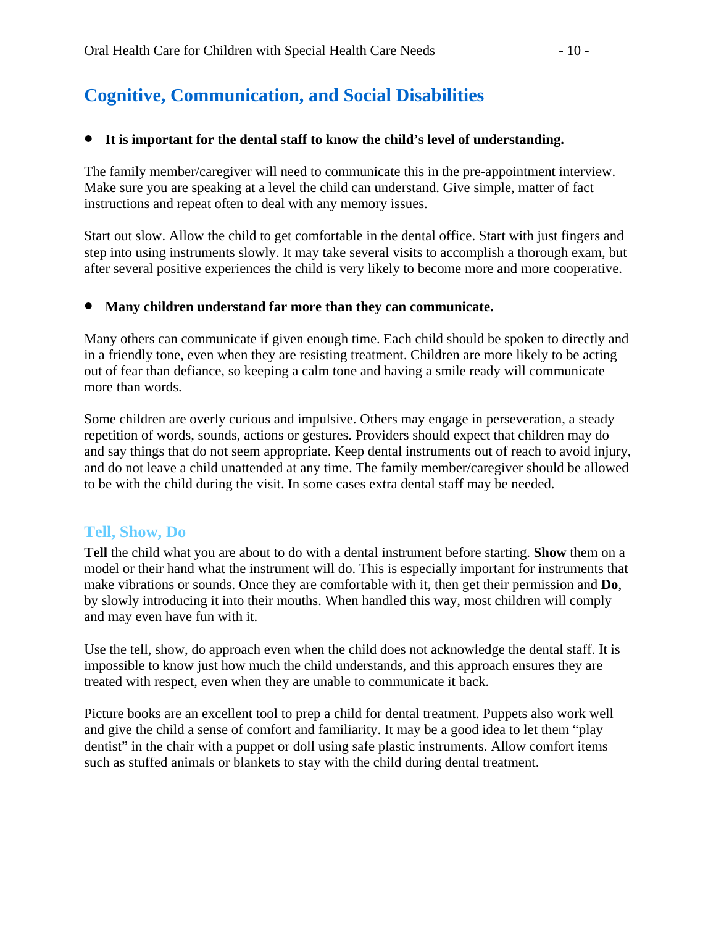## **Cognitive, Communication, and Social Disabilities**

#### • **It is important for the dental staff to know the child's level of understanding.**

The family member/caregiver will need to communicate this in the pre-appointment interview. Make sure you are speaking at a level the child can understand. Give simple, matter of fact instructions and repeat often to deal with any memory issues.

Start out slow. Allow the child to get comfortable in the dental office. Start with just fingers and step into using instruments slowly. It may take several visits to accomplish a thorough exam, but after several positive experiences the child is very likely to become more and more cooperative.

#### • **Many children understand far more than they can communicate.**

Many others can communicate if given enough time. Each child should be spoken to directly and in a friendly tone, even when they are resisting treatment. Children are more likely to be acting out of fear than defiance, so keeping a calm tone and having a smile ready will communicate more than words.

Some children are overly curious and impulsive. Others may engage in perseveration, a steady repetition of words, sounds, actions or gestures. Providers should expect that children may do and say things that do not seem appropriate. Keep dental instruments out of reach to avoid injury, and do not leave a child unattended at any time. The family member/caregiver should be allowed to be with the child during the visit. In some cases extra dental staff may be needed.

### **Tell, Show, Do**

**Tell** the child what you are about to do with a dental instrument before starting. **Show** them on a model or their hand what the instrument will do. This is especially important for instruments that make vibrations or sounds. Once they are comfortable with it, then get their permission and **Do**, by slowly introducing it into their mouths. When handled this way, most children will comply and may even have fun with it.

Use the tell, show, do approach even when the child does not acknowledge the dental staff. It is impossible to know just how much the child understands, and this approach ensures they are treated with respect, even when they are unable to communicate it back.

Picture books are an excellent tool to prep a child for dental treatment. Puppets also work well and give the child a sense of comfort and familiarity. It may be a good idea to let them "play dentist" in the chair with a puppet or doll using safe plastic instruments. Allow comfort items such as stuffed animals or blankets to stay with the child during dental treatment.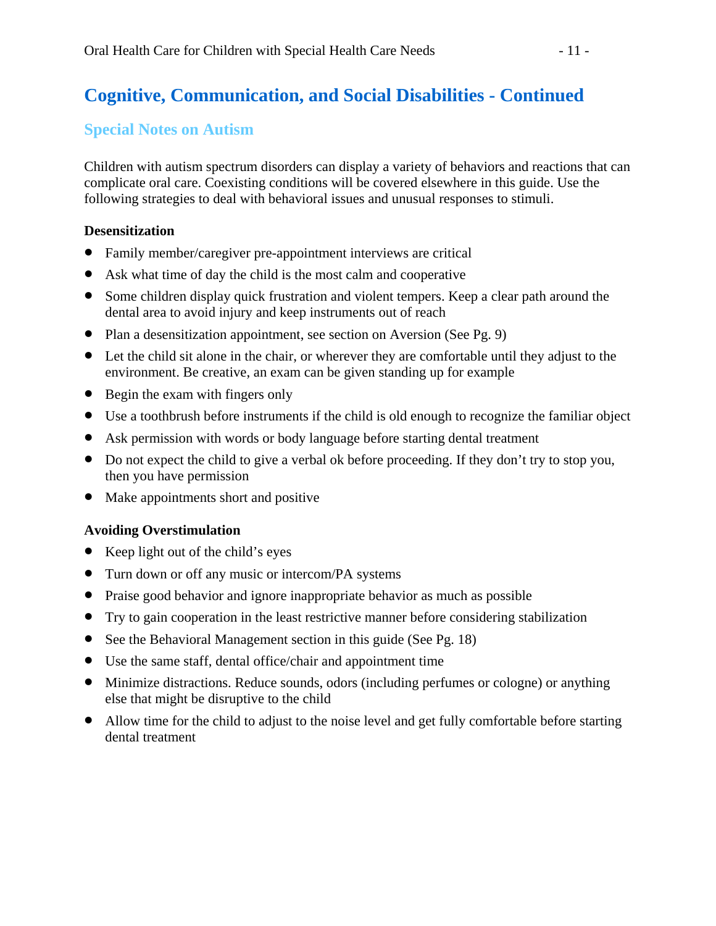## **Cognitive, Communication, and Social Disabilities - Continued**

### **Special Notes on Autism**

Children with autism spectrum disorders can display a variety of behaviors and reactions that can complicate oral care. Coexisting conditions will be covered elsewhere in this guide. Use the following strategies to deal with behavioral issues and unusual responses to stimuli.

### **Desensitization**

- Family member/caregiver pre-appointment interviews are critical
- Ask what time of day the child is the most calm and cooperative
- Some children display quick frustration and violent tempers. Keep a clear path around the dental area to avoid injury and keep instruments out of reach
- Plan a desensitization appointment, see section on Aversion (See Pg. 9)
- Let the child sit alone in the chair, or wherever they are comfortable until they adjust to the environment. Be creative, an exam can be given standing up for example
- Begin the exam with fingers only
- Use a toothbrush before instruments if the child is old enough to recognize the familiar object
- Ask permission with words or body language before starting dental treatment
- Do not expect the child to give a verbal ok before proceeding. If they don't try to stop you, then you have permission
- Make appointments short and positive

### **Avoiding Overstimulation**

- Keep light out of the child's eyes
- Turn down or off any music or intercom/PA systems
- Praise good behavior and ignore inappropriate behavior as much as possible
- Try to gain cooperation in the least restrictive manner before considering stabilization
- See the Behavioral Management section in this guide (See Pg. 18)
- Use the same staff, dental office/chair and appointment time
- Minimize distractions. Reduce sounds, odors (including perfumes or cologne) or anything else that might be disruptive to the child
- Allow time for the child to adjust to the noise level and get fully comfortable before starting dental treatment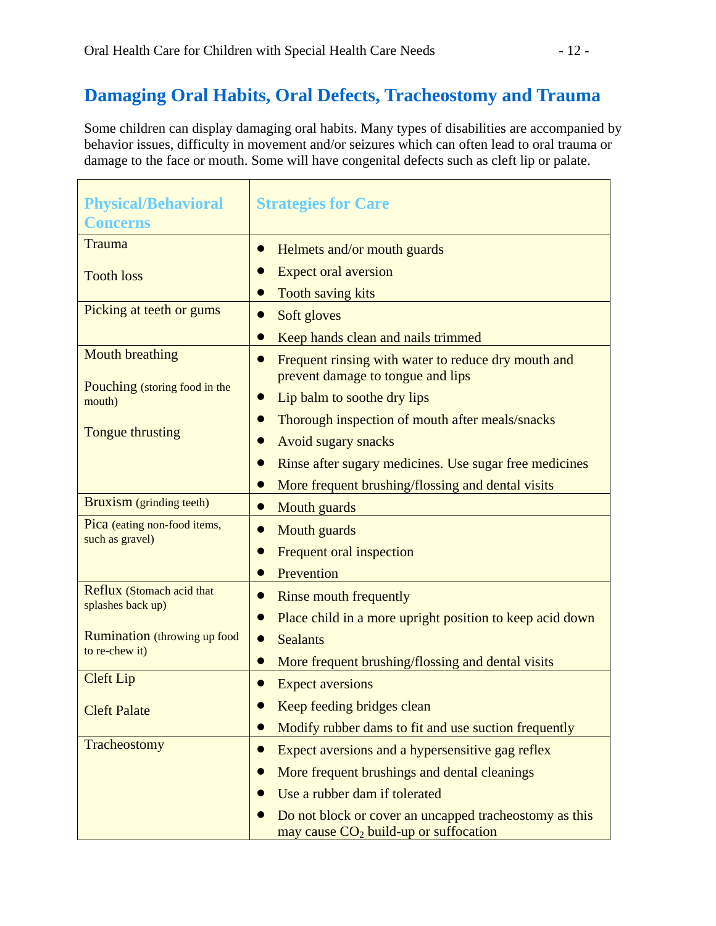## **Damaging Oral Habits, Oral Defects, Tracheostomy and Trauma**

Some children can display damaging oral habits. Many types of disabilities are accompanied by behavior issues, difficulty in movement and/or seizures which can often lead to oral trauma or damage to the face or mouth. Some will have congenital defects such as cleft lip or palate.

| <b>Physical/Behavioral</b><br><b>Concerns</b>                   | <b>Strategies for Care</b>                                                                                  |  |
|-----------------------------------------------------------------|-------------------------------------------------------------------------------------------------------------|--|
| <b>Trauma</b>                                                   | Helmets and/or mouth guards                                                                                 |  |
| <b>Tooth loss</b>                                               | <b>Expect oral aversion</b>                                                                                 |  |
|                                                                 | <b>Tooth saving kits</b>                                                                                    |  |
| Picking at teeth or gums                                        | Soft gloves<br>$\bullet$                                                                                    |  |
|                                                                 | Keep hands clean and nails trimmed                                                                          |  |
| <b>Mouth breathing</b>                                          | Frequent rinsing with water to reduce dry mouth and<br>prevent damage to tongue and lips                    |  |
| Pouching (storing food in the<br>mouth)                         | Lip balm to soothe dry lips                                                                                 |  |
|                                                                 | Thorough inspection of mouth after meals/snacks                                                             |  |
| Tongue thrusting                                                | <b>Avoid sugary snacks</b>                                                                                  |  |
|                                                                 | Rinse after sugary medicines. Use sugar free medicines                                                      |  |
|                                                                 | More frequent brushing/flossing and dental visits                                                           |  |
| Bruxism (grinding teeth)                                        | Mouth guards                                                                                                |  |
| Pica (eating non-food items,<br>Mouth guards<br>such as gravel) |                                                                                                             |  |
|                                                                 | Frequent oral inspection                                                                                    |  |
|                                                                 | Prevention                                                                                                  |  |
| Reflux (Stomach acid that                                       | <b>Rinse mouth frequently</b><br>$\bullet$                                                                  |  |
| splashes back up)                                               | Place child in a more upright position to keep acid down                                                    |  |
| <b>Rumination</b> (throwing up food                             | <b>Sealants</b><br>$\bullet$                                                                                |  |
| to re-chew it)                                                  | More frequent brushing/flossing and dental visits                                                           |  |
| <b>Cleft Lip</b>                                                | <b>Expect aversions</b>                                                                                     |  |
| <b>Cleft Palate</b>                                             | Keep feeding bridges clean                                                                                  |  |
|                                                                 | Modify rubber dams to fit and use suction frequently<br>$\bullet$                                           |  |
| Tracheostomy                                                    | Expect aversions and a hypersensitive gag reflex                                                            |  |
|                                                                 | More frequent brushings and dental cleanings                                                                |  |
|                                                                 | Use a rubber dam if tolerated                                                                               |  |
|                                                                 | Do not block or cover an uncapped tracheostomy as this<br>may cause CO <sub>2</sub> build-up or suffocation |  |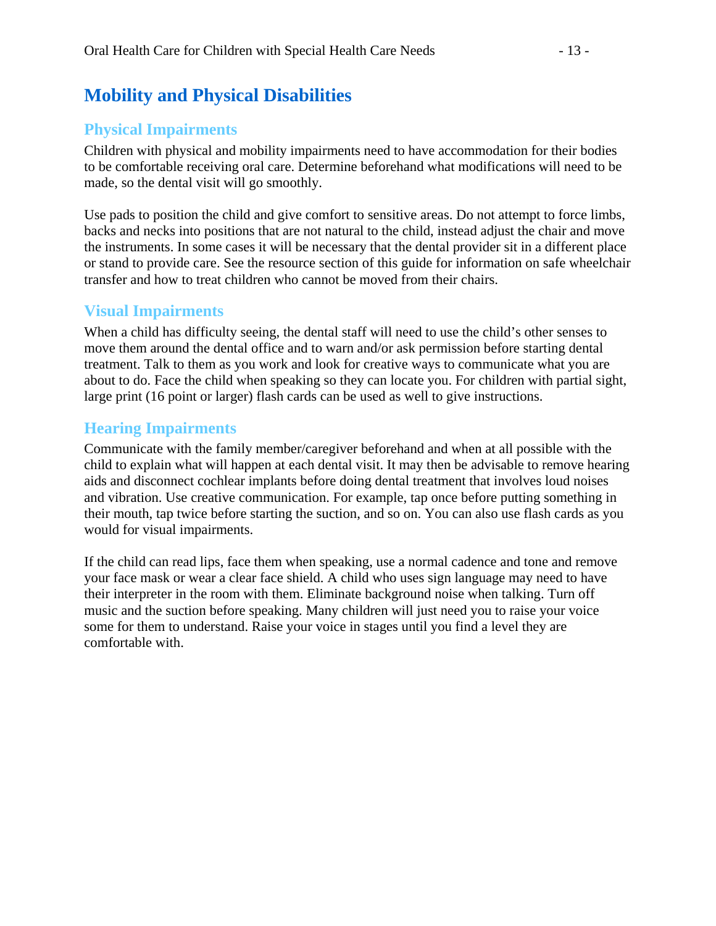### **Mobility and Physical Disabilities**

### **Physical Impairments**

Children with physical and mobility impairments need to have accommodation for their bodies to be comfortable receiving oral care. Determine beforehand what modifications will need to be made, so the dental visit will go smoothly.

Use pads to position the child and give comfort to sensitive areas. Do not attempt to force limbs, backs and necks into positions that are not natural to the child, instead adjust the chair and move the instruments. In some cases it will be necessary that the dental provider sit in a different place or stand to provide care. See the resource section of this guide for information on safe wheelchair transfer and how to treat children who cannot be moved from their chairs.

### **Visual Impairments**

When a child has difficulty seeing, the dental staff will need to use the child's other senses to move them around the dental office and to warn and/or ask permission before starting dental treatment. Talk to them as you work and look for creative ways to communicate what you are about to do. Face the child when speaking so they can locate you. For children with partial sight, large print (16 point or larger) flash cards can be used as well to give instructions.

### **Hearing Impairments**

Communicate with the family member/caregiver beforehand and when at all possible with the child to explain what will happen at each dental visit. It may then be advisable to remove hearing aids and disconnect cochlear implants before doing dental treatment that involves loud noises and vibration. Use creative communication. For example, tap once before putting something in their mouth, tap twice before starting the suction, and so on. You can also use flash cards as you would for visual impairments.

If the child can read lips, face them when speaking, use a normal cadence and tone and remove your face mask or wear a clear face shield. A child who uses sign language may need to have their interpreter in the room with them. Eliminate background noise when talking. Turn off music and the suction before speaking. Many children will just need you to raise your voice some for them to understand. Raise your voice in stages until you find a level they are comfortable with.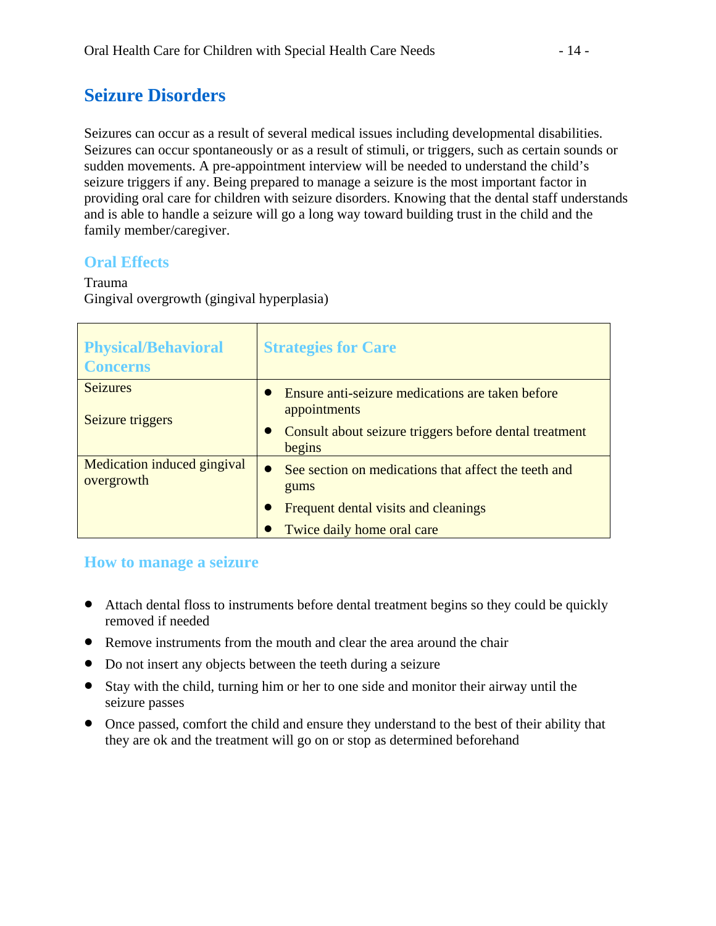## **Seizure Disorders**

Seizures can occur as a result of several medical issues including developmental disabilities. Seizures can occur spontaneously or as a result of stimuli, or triggers, such as certain sounds or sudden movements. A pre-appointment interview will be needed to understand the child's seizure triggers if any. Being prepared to manage a seizure is the most important factor in providing oral care for children with seizure disorders. Knowing that the dental staff understands and is able to handle a seizure will go a long way toward building trust in the child and the family member/caregiver.

### **Oral Effects**

## Trauma

Gingival overgrowth (gingival hyperplasia)

| <b>Physical/Behavioral</b><br><b>Concerns</b> | <b>Strategies for Care</b>                                                                                                           |
|-----------------------------------------------|--------------------------------------------------------------------------------------------------------------------------------------|
| <b>Seizures</b><br>Seizure triggers           | Ensure anti-seizure medications are taken before<br>appointments<br>Consult about seizure triggers before dental treatment<br>begins |
| Medication induced gingival<br>overgrowth     | See section on medications that affect the teeth and<br>gums<br>Frequent dental visits and cleanings<br>Twice daily home oral care   |

### **How to manage a seizure**

- Attach dental floss to instruments before dental treatment begins so they could be quickly removed if needed
- Remove instruments from the mouth and clear the area around the chair
- Do not insert any objects between the teeth during a seizure
- Stay with the child, turning him or her to one side and monitor their airway until the seizure passes
- Once passed, comfort the child and ensure they understand to the best of their ability that they are ok and the treatment will go on or stop as determined beforehand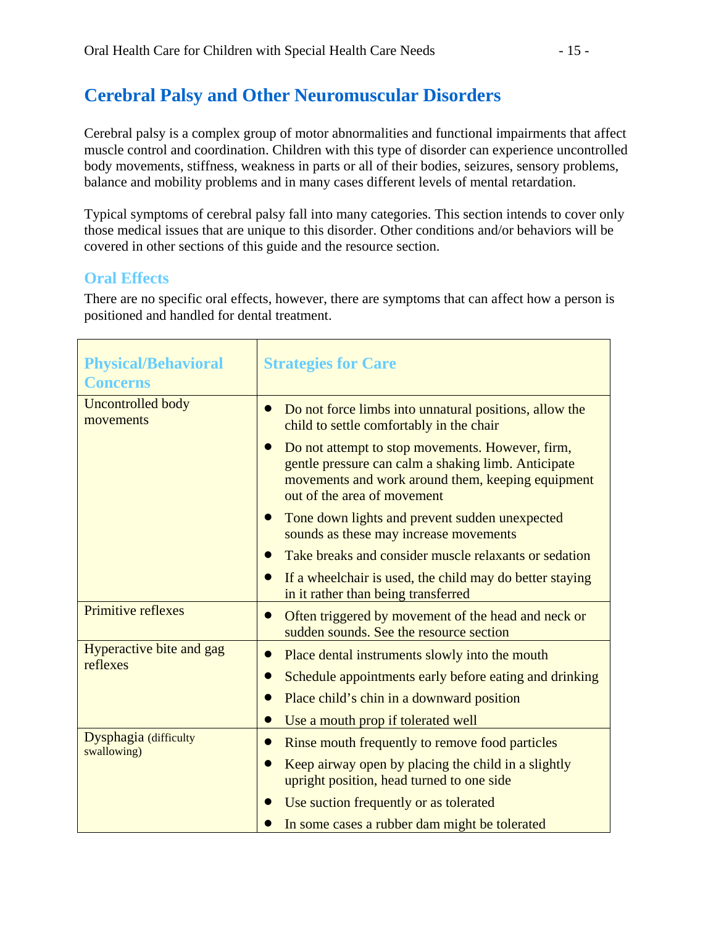## **Cerebral Palsy and Other Neuromuscular Disorders**

Cerebral palsy is a complex group of motor abnormalities and functional impairments that affect muscle control and coordination. Children with this type of disorder can experience uncontrolled body movements, stiffness, weakness in parts or all of their bodies, seizures, sensory problems, balance and mobility problems and in many cases different levels of mental retardation.

Typical symptoms of cerebral palsy fall into many categories. This section intends to cover only those medical issues that are unique to this disorder. Other conditions and/or behaviors will be covered in other sections of this guide and the resource section.

### **Oral Effects**

There are no specific oral effects, however, there are symptoms that can affect how a person is positioned and handled for dental treatment.

| <b>Physical/Behavioral</b><br><b>Concerns</b> | <b>Strategies for Care</b>                                                                                                                                                                  |
|-----------------------------------------------|---------------------------------------------------------------------------------------------------------------------------------------------------------------------------------------------|
| <b>Uncontrolled body</b><br>movements         | Do not force limbs into unnatural positions, allow the<br>child to settle comfortably in the chair                                                                                          |
|                                               | Do not attempt to stop movements. However, firm,<br>gentle pressure can calm a shaking limb. Anticipate<br>movements and work around them, keeping equipment<br>out of the area of movement |
|                                               | Tone down lights and prevent sudden unexpected<br>sounds as these may increase movements                                                                                                    |
|                                               | Take breaks and consider muscle relaxants or sedation                                                                                                                                       |
|                                               | If a wheelchair is used, the child may do better staying<br>in it rather than being transferred                                                                                             |
| Primitive reflexes                            | Often triggered by movement of the head and neck or<br>sudden sounds. See the resource section                                                                                              |
| Hyperactive bite and gag                      | Place dental instruments slowly into the mouth                                                                                                                                              |
| reflexes                                      | Schedule appointments early before eating and drinking                                                                                                                                      |
|                                               | Place child's chin in a downward position                                                                                                                                                   |
|                                               | Use a mouth prop if tolerated well                                                                                                                                                          |
| Dysphagia (difficulty<br>swallowing)          | Rinse mouth frequently to remove food particles                                                                                                                                             |
|                                               | Keep airway open by placing the child in a slightly<br>upright position, head turned to one side                                                                                            |
|                                               | Use suction frequently or as tolerated                                                                                                                                                      |
|                                               | In some cases a rubber dam might be tolerated                                                                                                                                               |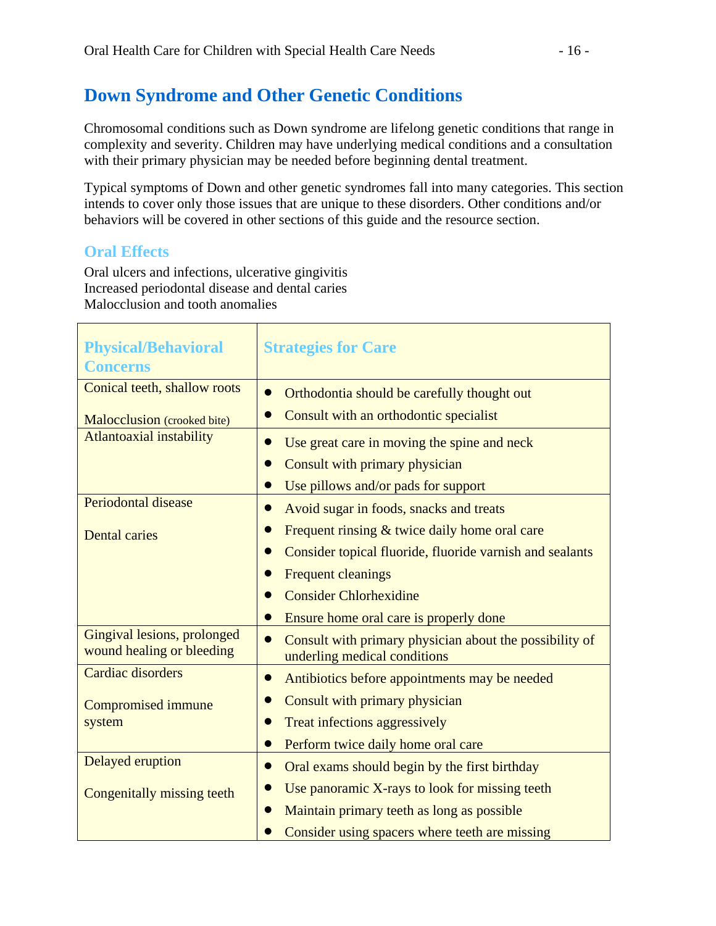## **Down Syndrome and Other Genetic Conditions**

Chromosomal conditions such as Down syndrome are lifelong genetic conditions that range in complexity and severity. Children may have underlying medical conditions and a consultation with their primary physician may be needed before beginning dental treatment.

Typical symptoms of Down and other genetic syndromes fall into many categories. This section intends to cover only those issues that are unique to these disorders. Other conditions and/or behaviors will be covered in other sections of this guide and the resource section.

### **Oral Effects**

Oral ulcers and infections, ulcerative gingivitis Increased periodontal disease and dental caries Malocclusion and tooth anomalies

| <b>Physical/Behavioral</b>                               | <b>Strategies for Care</b>                                                              |  |
|----------------------------------------------------------|-----------------------------------------------------------------------------------------|--|
| <b>Concerns</b>                                          |                                                                                         |  |
| Conical teeth, shallow roots                             | Orthodontia should be carefully thought out                                             |  |
| Malocclusion (crooked bite)                              | Consult with an orthodontic specialist                                                  |  |
| <b>Atlantoaxial instability</b>                          | Use great care in moving the spine and neck                                             |  |
|                                                          | Consult with primary physician                                                          |  |
|                                                          | Use pillows and/or pads for support                                                     |  |
| Periodontal disease                                      | Avoid sugar in foods, snacks and treats                                                 |  |
| <b>Dental caries</b>                                     | Frequent rinsing & twice daily home oral care                                           |  |
|                                                          | Consider topical fluoride, fluoride varnish and sealants                                |  |
|                                                          | <b>Frequent cleanings</b>                                                               |  |
|                                                          | <b>Consider Chlorhexidine</b>                                                           |  |
|                                                          | Ensure home oral care is properly done                                                  |  |
| Gingival lesions, prolonged<br>wound healing or bleeding | Consult with primary physician about the possibility of<br>underling medical conditions |  |
| Cardiac disorders                                        | Antibiotics before appointments may be needed                                           |  |
| <b>Compromised immune</b>                                | Consult with primary physician                                                          |  |
| system                                                   | Treat infections aggressively                                                           |  |
|                                                          | Perform twice daily home oral care                                                      |  |
| Delayed eruption                                         | Oral exams should begin by the first birthday                                           |  |
| Congenitally missing teeth                               | Use panoramic X-rays to look for missing teeth                                          |  |
|                                                          | Maintain primary teeth as long as possible                                              |  |
|                                                          | Consider using spacers where teeth are missing                                          |  |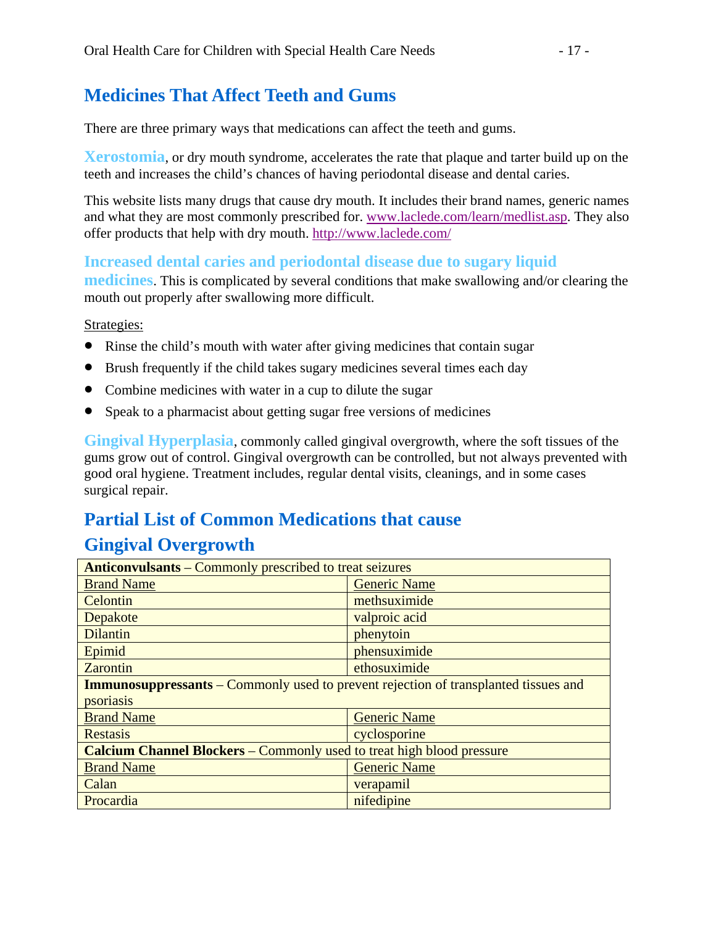## **Medicines That Affect Teeth and Gums**

There are three primary ways that medications can affect the teeth and gums.

**Xerostomia**, or dry mouth syndrome, accelerates the rate that plaque and tarter build up on the teeth and increases the child's chances of having periodontal disease and dental caries.

This website lists many drugs that cause dry mouth. It includes their brand names, generic names and what they are most commonly prescribed for. www.laclede.com/learn/medlist.asp. They also offer products that help with dry mouth. http://www.laclede.com/

### **Increased dental caries and periodontal disease due to sugary liquid**

**medicines**. This is complicated by several conditions that make swallowing and/or clearing the mouth out properly after swallowing more difficult.

Strategies:

- Rinse the child's mouth with water after giving medicines that contain sugar
- Brush frequently if the child takes sugary medicines several times each day
- Combine medicines with water in a cup to dilute the sugar
- Speak to a pharmacist about getting sugar free versions of medicines

**Gingival Hyperplasia**, commonly called gingival overgrowth, where the soft tissues of the gums grow out of control. Gingival overgrowth can be controlled, but not always prevented with good oral hygiene. Treatment includes, regular dental visits, cleanings, and in some cases surgical repair.

## **Partial List of Common Medications that cause Gingival Overgrowth**

| <b>Anticonvulsants</b> – Commonly prescribed to treat seizures                             |                     |  |
|--------------------------------------------------------------------------------------------|---------------------|--|
| <b>Brand Name</b>                                                                          | <b>Generic Name</b> |  |
| Celontin                                                                                   | methsuximide        |  |
| Depakote                                                                                   | valproic acid       |  |
| <b>Dilantin</b>                                                                            | phenytoin           |  |
| Epimid                                                                                     | phensuximide        |  |
| Zarontin                                                                                   | ethosuximide        |  |
| <b>Immunosuppressants</b> – Commonly used to prevent rejection of transplanted tissues and |                     |  |
| psoriasis                                                                                  |                     |  |
| <b>Brand Name</b>                                                                          | <b>Generic Name</b> |  |
| <b>Restasis</b>                                                                            | cyclosporine        |  |
| <b>Calcium Channel Blockers</b> – Commonly used to treat high blood pressure               |                     |  |
| <b>Brand Name</b>                                                                          | <b>Generic Name</b> |  |
| Calan                                                                                      | verapamil           |  |
| Procardia                                                                                  | nifedipine          |  |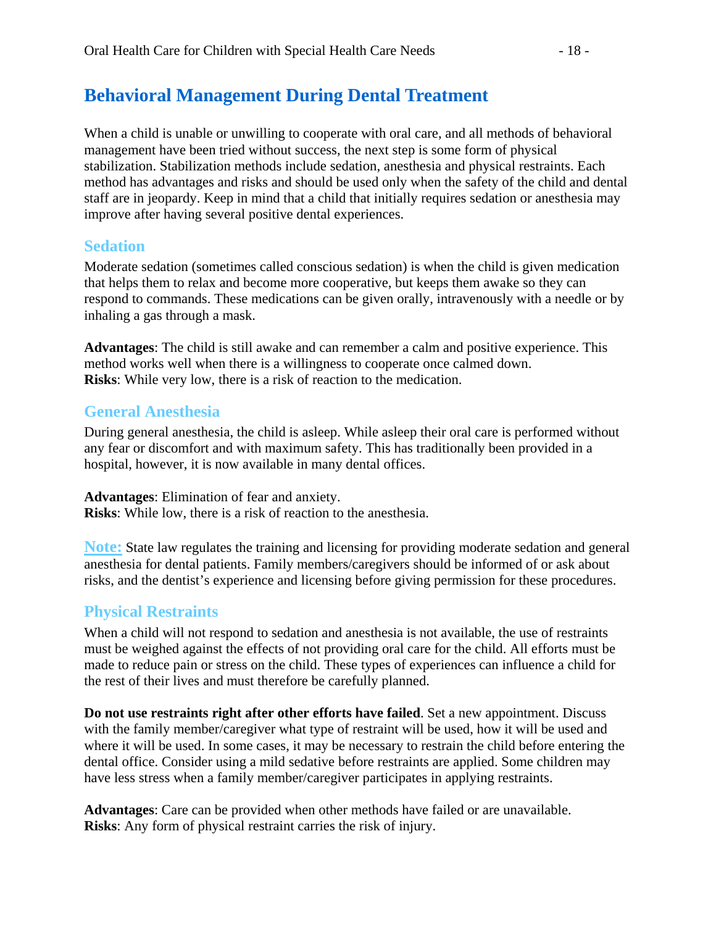### **Behavioral Management During Dental Treatment**

When a child is unable or unwilling to cooperate with oral care, and all methods of behavioral management have been tried without success, the next step is some form of physical stabilization. Stabilization methods include sedation, anesthesia and physical restraints. Each method has advantages and risks and should be used only when the safety of the child and dental staff are in jeopardy. Keep in mind that a child that initially requires sedation or anesthesia may improve after having several positive dental experiences.

### **Sedation**

Moderate sedation (sometimes called conscious sedation) is when the child is given medication that helps them to relax and become more cooperative, but keeps them awake so they can respond to commands. These medications can be given orally, intravenously with a needle or by inhaling a gas through a mask.

**Advantages**: The child is still awake and can remember a calm and positive experience. This method works well when there is a willingness to cooperate once calmed down. **Risks**: While very low, there is a risk of reaction to the medication.

### **General Anesthesia**

During general anesthesia, the child is asleep. While asleep their oral care is performed without any fear or discomfort and with maximum safety. This has traditionally been provided in a hospital, however, it is now available in many dental offices.

**Advantages**: Elimination of fear and anxiety. **Risks**: While low, there is a risk of reaction to the anesthesia.

**Note:** State law regulates the training and licensing for providing moderate sedation and general anesthesia for dental patients. Family members/caregivers should be informed of or ask about risks, and the dentist's experience and licensing before giving permission for these procedures.

### **Physical Restraints**

When a child will not respond to sedation and anesthesia is not available, the use of restraints must be weighed against the effects of not providing oral care for the child. All efforts must be made to reduce pain or stress on the child. These types of experiences can influence a child for the rest of their lives and must therefore be carefully planned.

**Do not use restraints right after other efforts have failed**. Set a new appointment. Discuss with the family member/caregiver what type of restraint will be used, how it will be used and where it will be used. In some cases, it may be necessary to restrain the child before entering the dental office. Consider using a mild sedative before restraints are applied. Some children may have less stress when a family member/caregiver participates in applying restraints.

**Advantages**: Care can be provided when other methods have failed or are unavailable. **Risks**: Any form of physical restraint carries the risk of injury.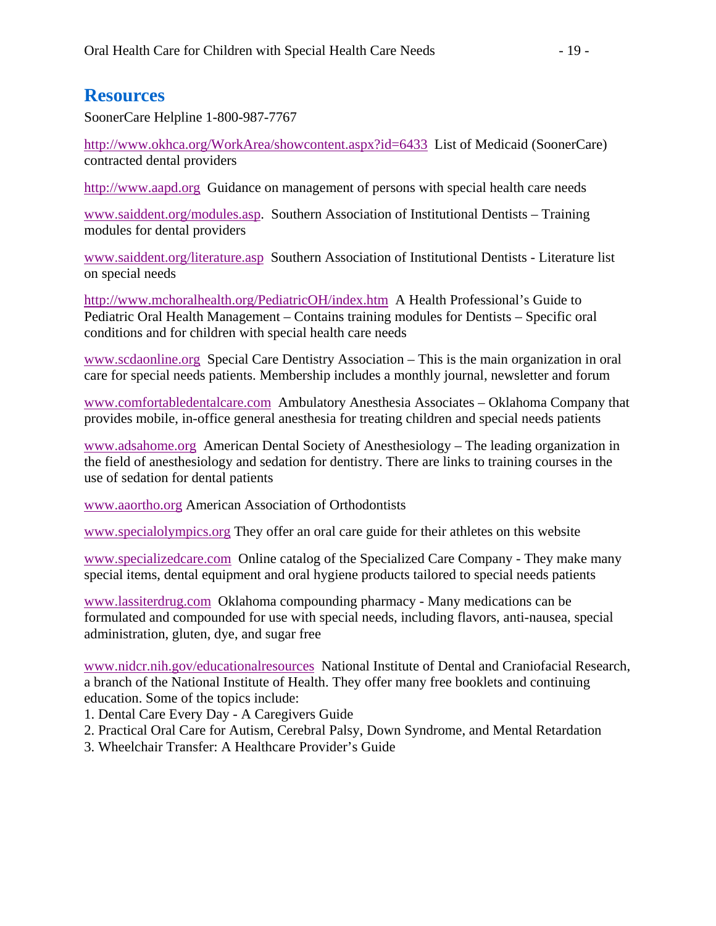### **Resources**

SoonerCare Helpline 1-800-987-7767

http://www.okhca.org/WorkArea/showcontent.aspx?id=6433 List of Medicaid (SoonerCare) contracted dental providers

http://www.aapd.org Guidance on management of persons with special health care needs

www.saiddent.org/modules.asp. Southern Association of Institutional Dentists – Training modules for dental providers

www.saiddent.org/literature.asp Southern Association of Institutional Dentists - Literature list on special needs

http://www.mchoralhealth.org/PediatricOH/index.htm A Health Professional's Guide to Pediatric Oral Health Management – Contains training modules for Dentists – Specific oral conditions and for children with special health care needs

www.scdaonline.org Special Care Dentistry Association – This is the main organization in oral care for special needs patients. Membership includes a monthly journal, newsletter and forum

www.comfortabledentalcare.com Ambulatory Anesthesia Associates – Oklahoma Company that provides mobile, in-office general anesthesia for treating children and special needs patients

www.adsahome.org American Dental Society of Anesthesiology – The leading organization in the field of anesthesiology and sedation for dentistry. There are links to training courses in the use of sedation for dental patients

www.aaortho.org American Association of Orthodontists

www.specialolympics.org They offer an oral care guide for their athletes on this website

www.specializedcare.com Online catalog of the Specialized Care Company - They make many special items, dental equipment and oral hygiene products tailored to special needs patients

www.lassiterdrug.com Oklahoma compounding pharmacy - Many medications can be formulated and compounded for use with special needs, including flavors, anti-nausea, special administration, gluten, dye, and sugar free

www.nidcr.nih.gov/educationalresources National Institute of Dental and Craniofacial Research, a branch of the National Institute of Health. They offer many free booklets and continuing education. Some of the topics include:

- 1. Dental Care Every Day A Caregivers Guide
- 2. Practical Oral Care for Autism, Cerebral Palsy, Down Syndrome, and Mental Retardation
- 3. Wheelchair Transfer: A Healthcare Provider's Guide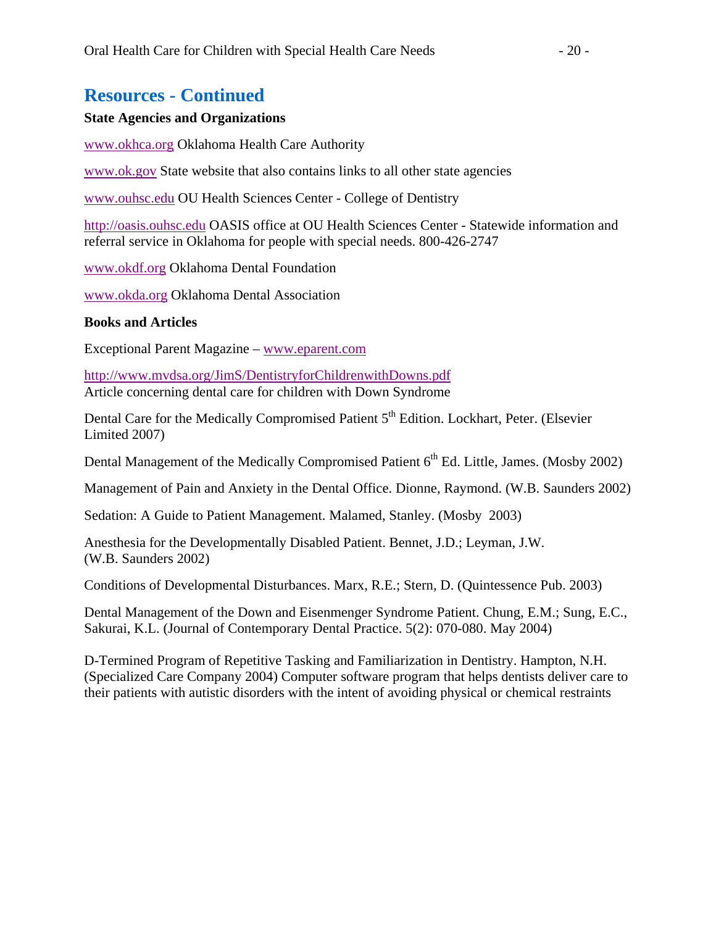### **Resources - Continued**

#### **State Agencies and Organizations**

www.okhca.org Oklahoma Health Care Authority

www.ok.gov State website that also contains links to all other state agencies

www.ouhsc.edu OU Health Sciences Center - College of Dentistry

http://oasis.ouhsc.edu OASIS office at OU Health Sciences Center - Statewide information and referral service in Oklahoma for people with special needs. 800-426-2747

www.okdf.org Oklahoma Dental Foundation

www.okda.org Oklahoma Dental Association

#### **Books and Articles**

Exceptional Parent Magazine – www.eparent.com

http://www.mvdsa.org/JimS/DentistryforChildrenwithDowns.pdf Article concerning dental care for children with Down Syndrome

Dental Care for the Medically Compromised Patient 5<sup>th</sup> Edition. Lockhart, Peter. (Elsevier Limited 2007)

Dental Management of the Medically Compromised Patient  $6<sup>th</sup>$  Ed. Little, James. (Mosby 2002)

Management of Pain and Anxiety in the Dental Office. Dionne, Raymond. (W.B. Saunders 2002)

Sedation: A Guide to Patient Management. Malamed, Stanley. (Mosby 2003)

Anesthesia for the Developmentally Disabled Patient. Bennet, J.D.; Leyman, J.W. (W.B. Saunders 2002)

Conditions of Developmental Disturbances. Marx, R.E.; Stern, D. (Quintessence Pub. 2003)

Dental Management of the Down and Eisenmenger Syndrome Patient. Chung, E.M.; Sung, E.C., Sakurai, K.L. (Journal of Contemporary Dental Practice. 5(2): 070-080. May 2004)

D-Termined Program of Repetitive Tasking and Familiarization in Dentistry. Hampton, N.H. (Specialized Care Company 2004) Computer software program that helps dentists deliver care to their patients with autistic disorders with the intent of avoiding physical or chemical restraints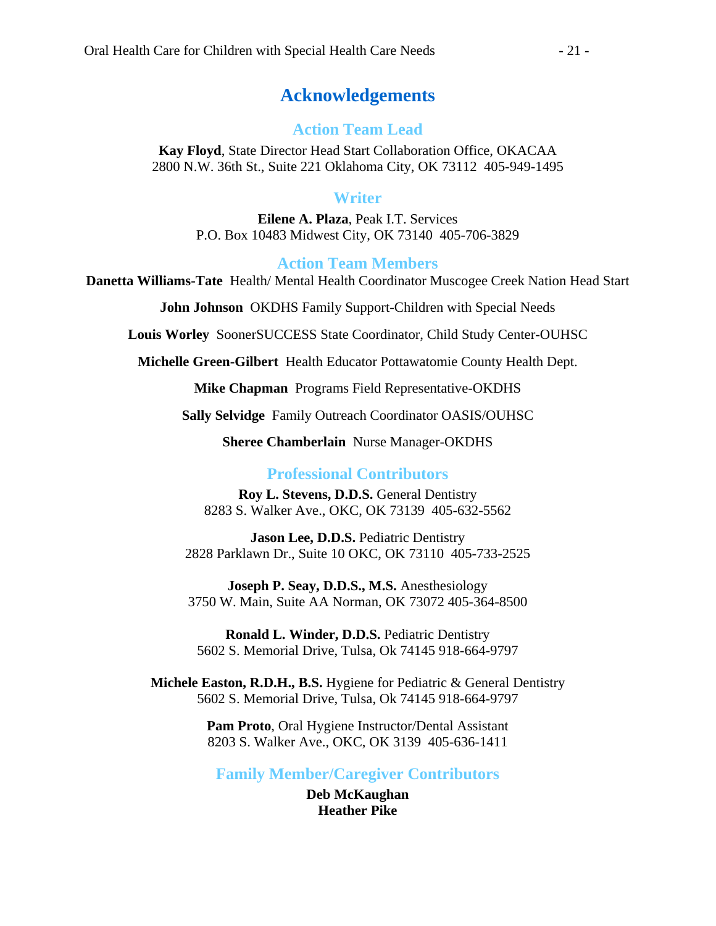### **Acknowledgements**

### **Action Team Lead**

**Kay Floyd**, State Director Head Start Collaboration Office, OKACAA 2800 N.W. 36th St., Suite 221 Oklahoma City, OK 73112 405-949-1495

#### **Writer**

**Eilene A. Plaza**, Peak I.T. Services P.O. Box 10483 Midwest City, OK 73140 405-706-3829

**Action Team Members**

**Danetta Williams-Tate** Health/ Mental Health Coordinator Muscogee Creek Nation Head Start

**John Johnson** OKDHS Family Support-Children with Special Needs

**Louis Worley** SoonerSUCCESS State Coordinator, Child Study Center-OUHSC

**Michelle Green-Gilbert** Health Educator Pottawatomie County Health Dept.

**Mike Chapman** Programs Field Representative-OKDHS

**Sally Selvidge** Family Outreach Coordinator OASIS/OUHSC

**Sheree Chamberlain** Nurse Manager-OKDHS

#### **Professional Contributors**

**Roy L. Stevens, D.D.S.** General Dentistry 8283 S. Walker Ave., OKC, OK 73139 405-632-5562

**Jason Lee, D.D.S.** Pediatric Dentistry 2828 Parklawn Dr., Suite 10 OKC, OK 73110 405-733-2525

**Joseph P. Seay, D.D.S., M.S.** Anesthesiology 3750 W. Main, Suite AA Norman, OK 73072 405-364-8500

**Ronald L. Winder, D.D.S.** Pediatric Dentistry 5602 S. Memorial Drive, Tulsa, Ok 74145 918-664-9797

**Michele Easton, R.D.H., B.S.** Hygiene for Pediatric & General Dentistry 5602 S. Memorial Drive, Tulsa, Ok 74145 918-664-9797

> **Pam Proto**, Oral Hygiene Instructor/Dental Assistant 8203 S. Walker Ave., OKC, OK 3139 405-636-1411

**Family Member/Caregiver Contributors** 

**Deb McKaughan Heather Pike**